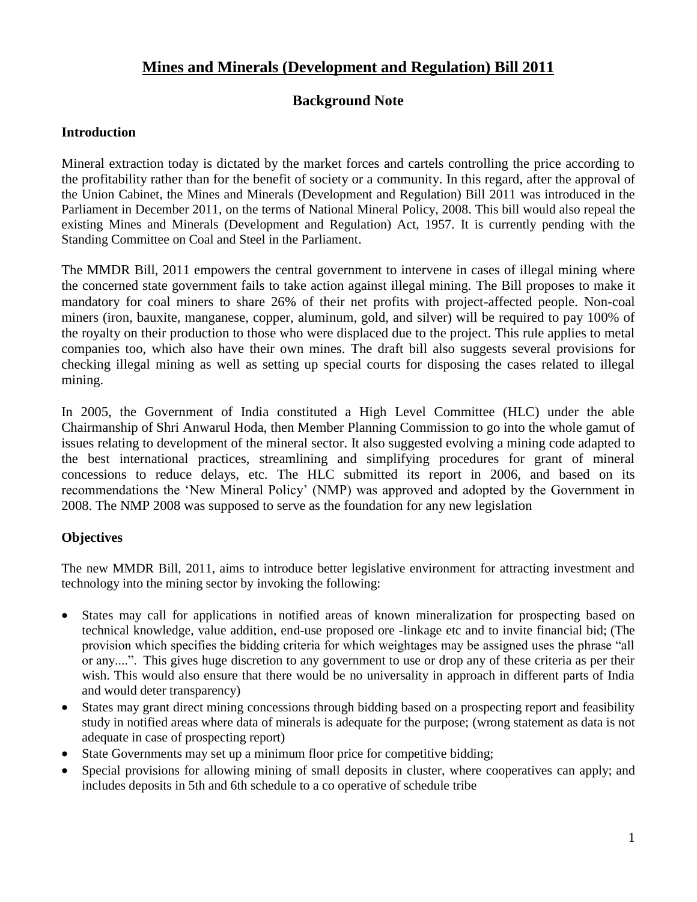# **Mines and Minerals (Development and Regulation) Bill 2011**

## **Background Note**

#### **Introduction**

Mineral extraction today is dictated by the market forces and cartels controlling the price according to the profitability rather than for the benefit of society or a community. In this regard, after the approval of the Union Cabinet, the Mines and Minerals (Development and Regulation) Bill 2011 was introduced in the Parliament in December 2011, on the terms of National Mineral Policy, 2008. This bill would also repeal the existing Mines and Minerals (Development and Regulation) Act, 1957. It is currently pending with the Standing Committee on Coal and Steel in the Parliament.

The MMDR Bill, 2011 empowers the central government to intervene in cases of illegal mining where the concerned state government fails to take action against illegal mining. The Bill proposes to make it mandatory for coal miners to share 26% of their net profits with project-affected people. Non-coal miners (iron, bauxite, manganese, copper, aluminum, gold, and silver) will be required to pay 100% of the royalty on their production to those who were displaced due to the project. This rule applies to metal companies too, which also have their own mines. The draft bill also suggests several provisions for checking illegal mining as well as setting up special courts for disposing the cases related to illegal mining.

In 2005, the Government of India constituted a High Level Committee (HLC) under the able Chairmanship of Shri Anwarul Hoda, then Member Planning Commission to go into the whole gamut of issues relating to development of the mineral sector. It also suggested evolving a mining code adapted to the best international practices, streamlining and simplifying procedures for grant of mineral concessions to reduce delays, etc. The HLC submitted its report in 2006, and based on its recommendations the 'New Mineral Policy' (NMP) was approved and adopted by the Government in 2008. The NMP 2008 was supposed to serve as the foundation for any new legislation

#### **Objectives**

The new MMDR Bill, 2011, aims to introduce better legislative environment for attracting investment and technology into the mining sector by invoking the following:

- States may call for applications in notified areas of known mineralization for prospecting based on technical knowledge, value addition, end-use proposed ore -linkage etc and to invite financial bid; (The provision which specifies the bidding criteria for which weightages may be assigned uses the phrase "all or any....". This gives huge discretion to any government to use or drop any of these criteria as per their wish. This would also ensure that there would be no universality in approach in different parts of India and would deter transparency)
- States may grant direct mining concessions through bidding based on a prospecting report and feasibility study in notified areas where data of minerals is adequate for the purpose; (wrong statement as data is not adequate in case of prospecting report)
- State Governments may set up a minimum floor price for competitive bidding;
- Special provisions for allowing mining of small deposits in cluster, where cooperatives can apply; and includes deposits in 5th and 6th schedule to a co operative of schedule tribe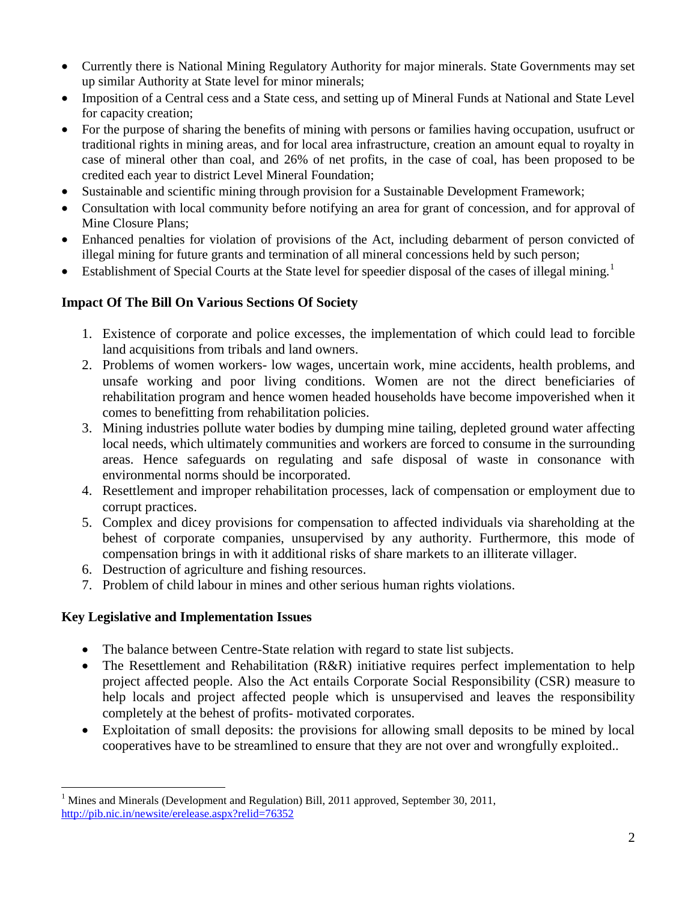- Currently there is National Mining Regulatory Authority for major minerals. State Governments may set up similar Authority at State level for minor minerals;
- Imposition of a Central cess and a State cess, and setting up of Mineral Funds at National and State Level for capacity creation;
- For the purpose of sharing the benefits of mining with persons or families having occupation, usufruct or traditional rights in mining areas, and for local area infrastructure, creation an amount equal to royalty in case of mineral other than coal, and 26% of net profits, in the case of coal, has been proposed to be credited each year to district Level Mineral Foundation;
- Sustainable and scientific mining through provision for a Sustainable Development Framework;
- Consultation with local community before notifying an area for grant of concession, and for approval of Mine Closure Plans;
- Enhanced penalties for violation of provisions of the Act, including debarment of person convicted of illegal mining for future grants and termination of all mineral concessions held by such person;
- Establishment of Special Courts at the State level for speedier disposal of the cases of illegal mining.<sup>1</sup>

# **Impact Of The Bill On Various Sections Of Society**

- 1. Existence of corporate and police excesses, the implementation of which could lead to forcible land acquisitions from tribals and land owners.
- 2. Problems of women workers- low wages, uncertain work, mine accidents, health problems, and unsafe working and poor living conditions. Women are not the direct beneficiaries of rehabilitation program and hence women headed households have become impoverished when it comes to benefitting from rehabilitation policies.
- 3. Mining industries pollute water bodies by dumping mine tailing, depleted ground water affecting local needs, which ultimately communities and workers are forced to consume in the surrounding areas. Hence safeguards on regulating and safe disposal of waste in consonance with environmental norms should be incorporated.
- 4. Resettlement and improper rehabilitation processes, lack of compensation or employment due to corrupt practices.
- 5. Complex and dicey provisions for compensation to affected individuals via shareholding at the behest of corporate companies, unsupervised by any authority. Furthermore, this mode of compensation brings in with it additional risks of share markets to an illiterate villager.
- 6. Destruction of agriculture and fishing resources.
- 7. Problem of child labour in mines and other serious human rights violations.

# **Key Legislative and Implementation Issues**

- The balance between Centre-State relation with regard to state list subjects.
- The Resettlement and Rehabilitation (R&R) initiative requires perfect implementation to help project affected people. Also the Act entails Corporate Social Responsibility (CSR) measure to help locals and project affected people which is unsupervised and leaves the responsibility completely at the behest of profits- motivated corporates.
- Exploitation of small deposits: the provisions for allowing small deposits to be mined by local cooperatives have to be streamlined to ensure that they are not over and wrongfully exploited..

 $\overline{a}$ <sup>1</sup> Mines and Minerals (Development and Regulation) Bill, 2011 approved, September 30, 2011, <http://pib.nic.in/newsite/erelease.aspx?relid=76352>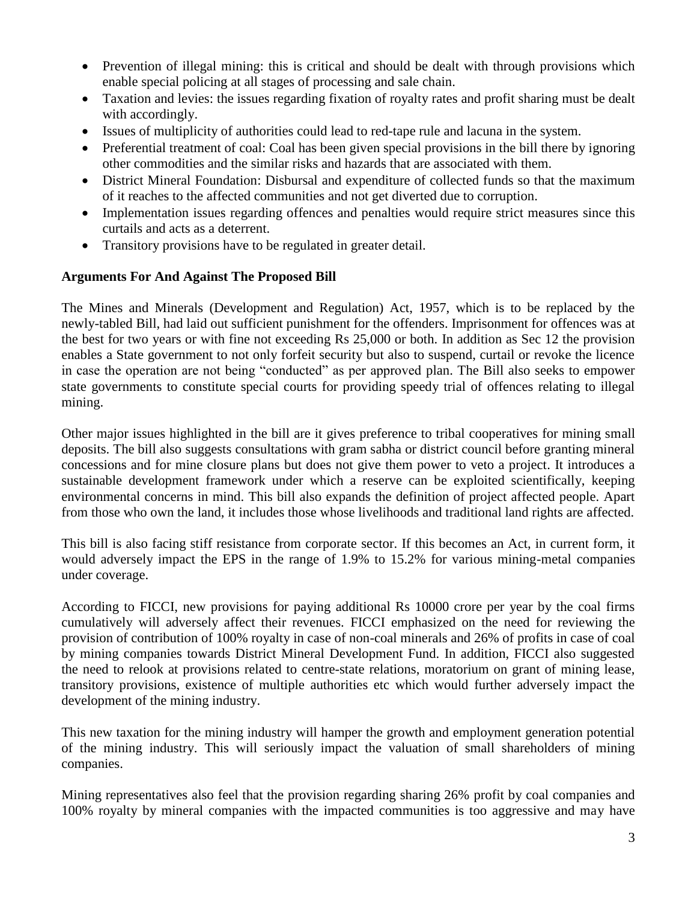- Prevention of illegal mining: this is critical and should be dealt with through provisions which enable special policing at all stages of processing and sale chain.
- Taxation and levies: the issues regarding fixation of royalty rates and profit sharing must be dealt with accordingly.
- Issues of multiplicity of authorities could lead to red-tape rule and lacuna in the system.
- Preferential treatment of coal: Coal has been given special provisions in the bill there by ignoring other commodities and the similar risks and hazards that are associated with them.
- District Mineral Foundation: Disbursal and expenditure of collected funds so that the maximum of it reaches to the affected communities and not get diverted due to corruption.
- Implementation issues regarding offences and penalties would require strict measures since this curtails and acts as a deterrent.
- Transitory provisions have to be regulated in greater detail.

### **Arguments For And Against The Proposed Bill**

The Mines and Minerals (Development and Regulation) Act, 1957, which is to be replaced by the newly-tabled Bill, had laid out sufficient punishment for the offenders. Imprisonment for offences was at the best for two years or with fine not exceeding Rs 25,000 or both. In addition as Sec 12 the provision enables a State government to not only forfeit security but also to suspend, curtail or revoke the licence in case the operation are not being "conducted" as per approved plan. The Bill also seeks to empower state governments to constitute special courts for providing speedy trial of offences relating to illegal mining.

Other major issues highlighted in the bill are it gives preference to tribal cooperatives for mining small deposits. The bill also suggests consultations with gram sabha or district council before granting mineral concessions and for mine closure plans but does not give them power to veto a project. It introduces a sustainable development framework under which a reserve can be exploited scientifically, keeping environmental concerns in mind. This bill also expands the definition of project affected people. Apart from those who own the land, it includes those whose livelihoods and traditional land rights are affected.

This bill is also facing stiff resistance from corporate sector. If this becomes an Act, in current form, it would adversely impact the EPS in the range of 1.9% to 15.2% for various mining-metal companies under coverage.

According to FICCI, new provisions for paying additional Rs 10000 crore per year by the coal firms cumulatively will adversely affect their revenues. FICCI emphasized on the need for reviewing the provision of contribution of 100% royalty in case of non-coal minerals and 26% of profits in case of coal by mining companies towards District Mineral Development Fund. In addition, FICCI also suggested the need to relook at provisions related to centre-state relations, moratorium on grant of mining lease, transitory provisions, existence of multiple authorities etc which would further adversely impact the development of the mining industry.

This new taxation for the mining industry will hamper the growth and employment generation potential of the mining industry. This will seriously impact the valuation of small shareholders of mining companies.

Mining representatives also feel that the provision regarding sharing 26% profit by coal companies and 100% royalty by mineral companies with the impacted communities is too aggressive and may have